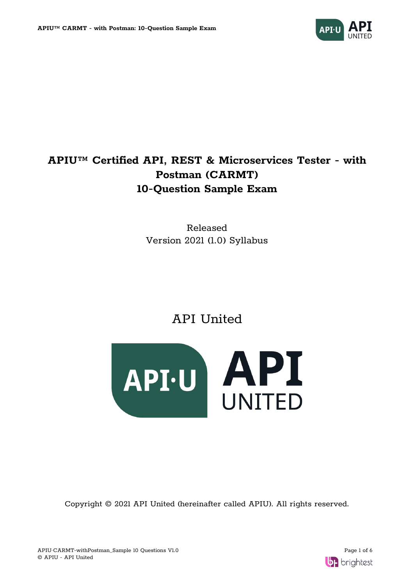

# **APIU™ Certified API, REST & Microservices Tester - with Postman (CARMT) 10-Question Sample Exam**

Released Version 2021 (1.0) Syllabus

API United



Copyright © 2021 API United (hereinafter called APIU). All rights reserved.

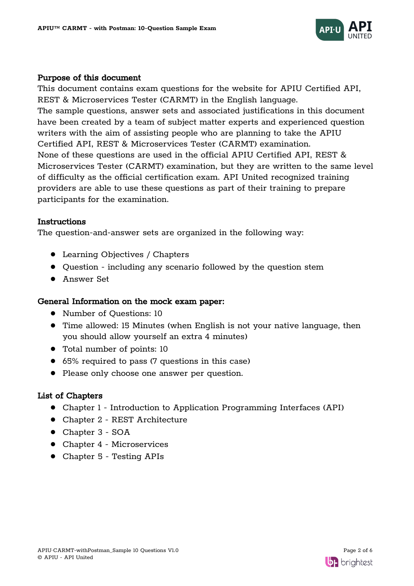

# Purpose of this document

This document contains exam questions for the website for APIU Certified API, REST & Microservices Tester (CARMT) in the English language. The sample questions, answer sets and associated justifications in this document have been created by a team of subject matter experts and experienced question writers with the aim of assisting people who are planning to take the APIU Certified API, REST & Microservices Tester (CARMT) examination. None of these questions are used in the official APIU Certified API, REST & Microservices Tester (CARMT) examination, but they are written to the same level of difficulty as the official certification exam. API United recognized training providers are able to use these questions as part of their training to prepare participants for the examination.

## Instructions

The question-and-answer sets are organized in the following way:

- Learning Objectives / Chapters
- Question including any scenario followed by the question stem
- Answer Set

## General Information on the mock exam paper:

- Number of Questions: 10
- Time allowed: 15 Minutes (when English is not your native language, then you should allow yourself an extra 4 minutes)
- Total number of points: 10
- 65% required to pass (7 questions in this case)
- Please only choose one answer per question.

# List of Chapters

- Chapter 1 Introduction to Application Programming Interfaces (API)
- Chapter 2 REST Architecture
- Chapter 3 SOA
- Chapter 4 Microservices
- Chapter 5 Testing APIs

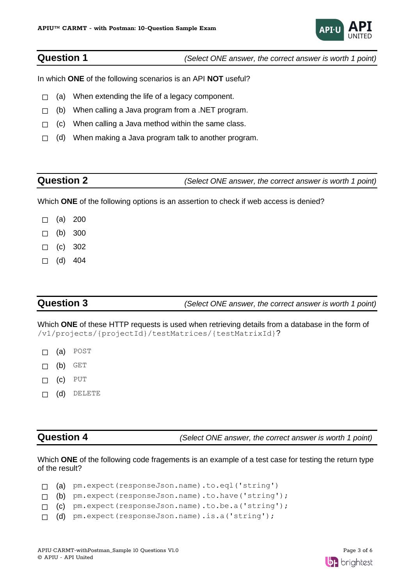

**Question 1** *(Select ONE answer, the correct answer is worth 1 point)*

In which **ONE** of the following scenarios is an API **NOT** useful?

- $\Box$  (a) When extending the life of a legacy component.
- ☐ (b) When calling a Java program from a .NET program.
- $\Box$  (c) When calling a Java method within the same class.
- $\Box$  (d) When making a Java program talk to another program.

# **Question 2** *(Select ONE answer, the correct answer is worth 1 point)*

Which **ONE** of the following options is an assertion to check if web access is denied?

- $\Box$  (a) 200
- $\Box$  (b) 300
- $\Box$  (c) 302
- $\Box$  (d) 404

**Question 3** *(Select ONE answer, the correct answer is worth 1 point)*

Which **ONE** of these HTTP requests is used when retrieving details from a database in the form of /v1/projects/{projectId}/testMatrices/{testMatrixId}?

- ☐ (a) POST
- $\Box$  (b) GET
- ☐ (c) PUT
- ☐ (d) DELETE

**Question 4** *(Select ONE answer, the correct answer is worth 1 point)*

Which **ONE** of the following code fragements is an example of a test case for testing the return type of the result?

|  | $\Box$ (a) pm.expect(responseJson.name).to.eql('string')   |
|--|------------------------------------------------------------|
|  | $\Box$ (b) pm.expect(responseJson.name).to.have('string'); |
|  | $\Box$ (c) pm.expect(responseJson.name).to.be.a('string'); |
|  | $\Box$ (d) pm.expect(responseJson.name).is.a('string');    |

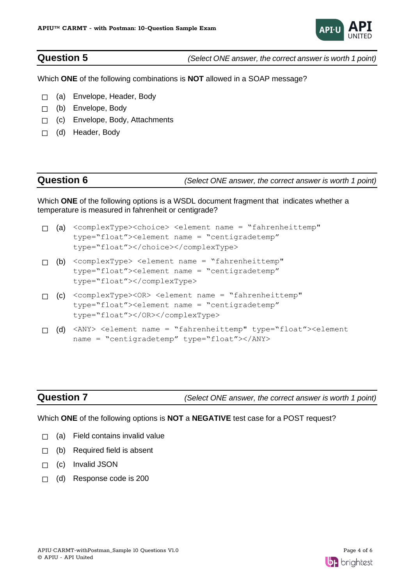

**Question 5** *(Select ONE answer, the correct answer is worth 1 point)*

Which **ONE** of the following combinations is **NOT** allowed in a SOAP message?

- ☐ (a) Envelope, Header, Body
- ☐ (b) Envelope, Body
- □ (c) Envelope, Body, Attachments
- ☐ (d) Header, Body

**Question 6** *(Select ONE answer, the correct answer is worth 1 point)*

Which **ONE** of the following options is a WSDL document fragment that indicates whether a temperature is measured in fahrenheit or centigrade?

- ☐ (a) <complexType><choice> <element name = "fahrenheittemp" type="float"><element name = "centigradetemp" type="float"></choice></complexType>
- ☐ (b) <complexType> <element name = "fahrenheittemp" type="float"><element name = "centigradetemp" type="float"></complexType>
- ☐ (c) <complexType><OR> <element name = "fahrenheittemp" type="float"><element name = "centigradetemp" type="float"></OR></complexType>
- ☐ (d) <ANY> <element name = "fahrenheittemp" type="float"><element name = "centigradetemp" type="float"></ANY>

**Question 7** *(Select ONE answer, the correct answer is worth 1 point)*

### Which **ONE** of the following options is **NOT** a **NEGATIVE** test case for a POST request?

- $\Box$  (a) Field contains invalid value
- $\Box$  (b) Required field is absent
- ☐ (c) Invalid JSON
- ☐ (d) Response code is 200

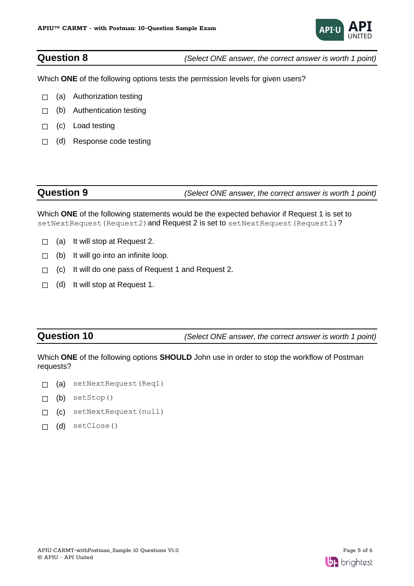

**Question 8** *(Select ONE answer, the correct answer is worth 1 point)*

Which **ONE** of the following options tests the permission levels for given users?

- $\Box$  (a) Authorization testing
- □ (b) Authentication testing
- □ (c) Load testing
- ☐ (d) Response code testing

# **Question 9** *(Select ONE answer, the correct answer is worth 1 point)*

Which **ONE** of the following statements would be the expected behavior if Request 1 is set to setNextRequest(Request2) and Request 2 is set to setNextRequest(Request1)?

- $\Box$  (a) It will stop at Request 2.
- $\Box$  (b) It will go into an infinite loop.
- ☐ (c) It will do one pass of Request 1 and Request 2.
- $\Box$  (d) It will stop at Request 1.

**Question 10** *(Select ONE answer, the correct answer is worth 1 point)*

Which **ONE** of the following options **SHOULD** John use in order to stop the workflow of Postman requests?

- □ (a) setNextRequest(Req1)
- $\Box$  (b) setStop()
- ☐ (c) setNextRequest(null)
- ☐ (d) setClose()